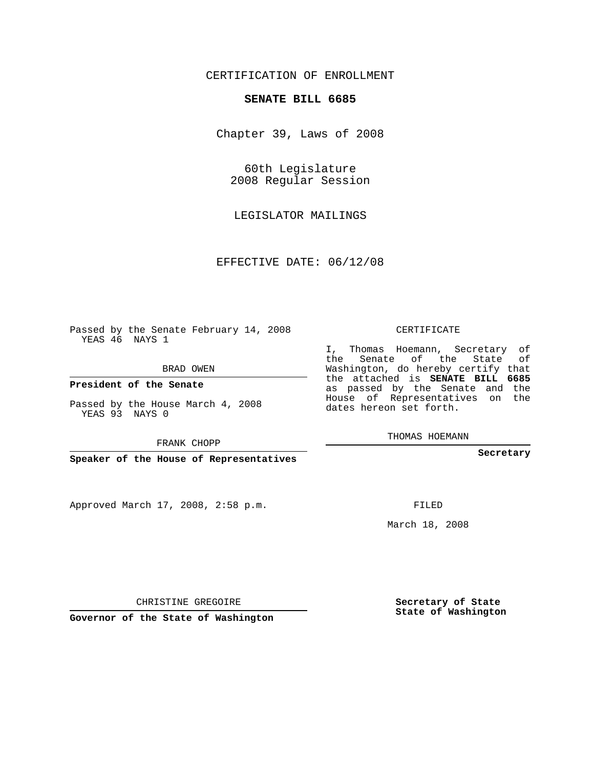## CERTIFICATION OF ENROLLMENT

## **SENATE BILL 6685**

Chapter 39, Laws of 2008

60th Legislature 2008 Regular Session

LEGISLATOR MAILINGS

EFFECTIVE DATE: 06/12/08

Passed by the Senate February 14, 2008 YEAS 46 NAYS 1

BRAD OWEN

**President of the Senate**

Passed by the House March 4, 2008 YEAS 93 NAYS 0

FRANK CHOPP

**Speaker of the House of Representatives**

Approved March 17, 2008, 2:58 p.m.

CERTIFICATE

I, Thomas Hoemann, Secretary of the Senate of the State of Washington, do hereby certify that the attached is **SENATE BILL 6685** as passed by the Senate and the House of Representatives on the dates hereon set forth.

THOMAS HOEMANN

**Secretary**

FILED

March 18, 2008

**Governor of the State of Washington**

CHRISTINE GREGOIRE

**Secretary of State State of Washington**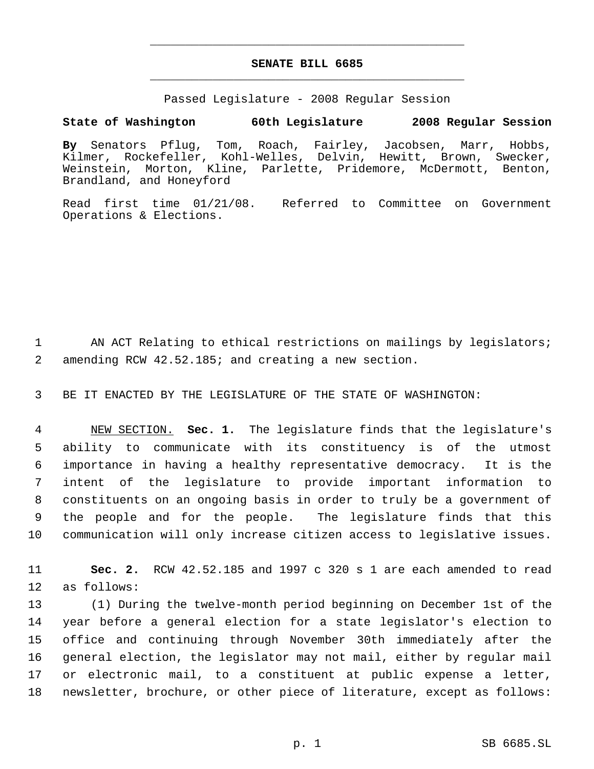## **SENATE BILL 6685** \_\_\_\_\_\_\_\_\_\_\_\_\_\_\_\_\_\_\_\_\_\_\_\_\_\_\_\_\_\_\_\_\_\_\_\_\_\_\_\_\_\_\_\_\_

\_\_\_\_\_\_\_\_\_\_\_\_\_\_\_\_\_\_\_\_\_\_\_\_\_\_\_\_\_\_\_\_\_\_\_\_\_\_\_\_\_\_\_\_\_

Passed Legislature - 2008 Regular Session

## **State of Washington 60th Legislature 2008 Regular Session**

**By** Senators Pflug, Tom, Roach, Fairley, Jacobsen, Marr, Hobbs, Kilmer, Rockefeller, Kohl-Welles, Delvin, Hewitt, Brown, Swecker, Weinstein, Morton, Kline, Parlette, Pridemore, McDermott, Benton, Brandland, and Honeyford

Read first time 01/21/08. Referred to Committee on Government Operations & Elections.

1 AN ACT Relating to ethical restrictions on mailings by legislators; 2 amending RCW 42.52.185; and creating a new section.

3 BE IT ENACTED BY THE LEGISLATURE OF THE STATE OF WASHINGTON:

 NEW SECTION. **Sec. 1.** The legislature finds that the legislature's ability to communicate with its constituency is of the utmost importance in having a healthy representative democracy. It is the intent of the legislature to provide important information to constituents on an ongoing basis in order to truly be a government of the people and for the people. The legislature finds that this communication will only increase citizen access to legislative issues.

11 **Sec. 2.** RCW 42.52.185 and 1997 c 320 s 1 are each amended to read 12 as follows:

 (1) During the twelve-month period beginning on December 1st of the year before a general election for a state legislator's election to office and continuing through November 30th immediately after the general election, the legislator may not mail, either by regular mail or electronic mail, to a constituent at public expense a letter, newsletter, brochure, or other piece of literature, except as follows: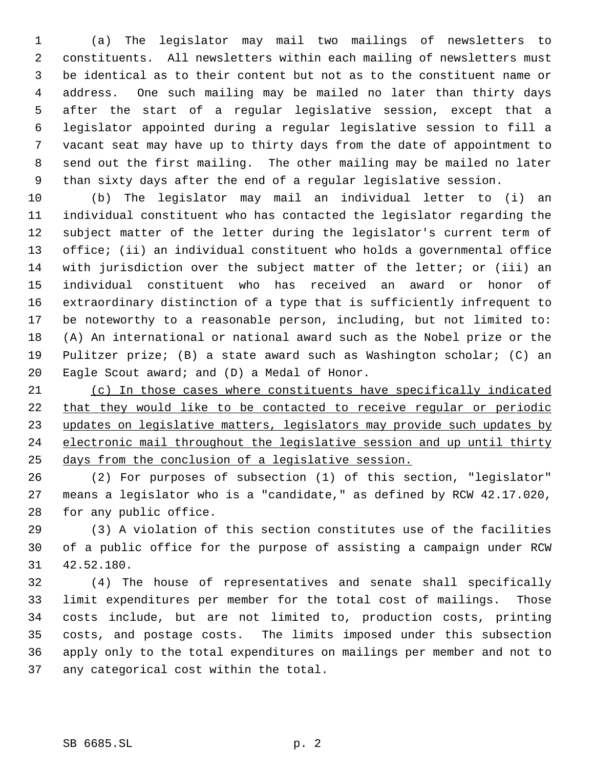(a) The legislator may mail two mailings of newsletters to constituents. All newsletters within each mailing of newsletters must be identical as to their content but not as to the constituent name or address. One such mailing may be mailed no later than thirty days after the start of a regular legislative session, except that a legislator appointed during a regular legislative session to fill a vacant seat may have up to thirty days from the date of appointment to send out the first mailing. The other mailing may be mailed no later than sixty days after the end of a regular legislative session.

 (b) The legislator may mail an individual letter to (i) an individual constituent who has contacted the legislator regarding the subject matter of the letter during the legislator's current term of office; (ii) an individual constituent who holds a governmental office with jurisdiction over the subject matter of the letter; or (iii) an individual constituent who has received an award or honor of extraordinary distinction of a type that is sufficiently infrequent to be noteworthy to a reasonable person, including, but not limited to: (A) An international or national award such as the Nobel prize or the Pulitzer prize; (B) a state award such as Washington scholar; (C) an Eagle Scout award; and (D) a Medal of Honor.

 (c) In those cases where constituents have specifically indicated that they would like to be contacted to receive regular or periodic 23 updates on legislative matters, legislators may provide such updates by electronic mail throughout the legislative session and up until thirty days from the conclusion of a legislative session.

 (2) For purposes of subsection (1) of this section, "legislator" means a legislator who is a "candidate," as defined by RCW 42.17.020, for any public office.

 (3) A violation of this section constitutes use of the facilities of a public office for the purpose of assisting a campaign under RCW 42.52.180.

 (4) The house of representatives and senate shall specifically limit expenditures per member for the total cost of mailings. Those costs include, but are not limited to, production costs, printing costs, and postage costs. The limits imposed under this subsection apply only to the total expenditures on mailings per member and not to any categorical cost within the total.